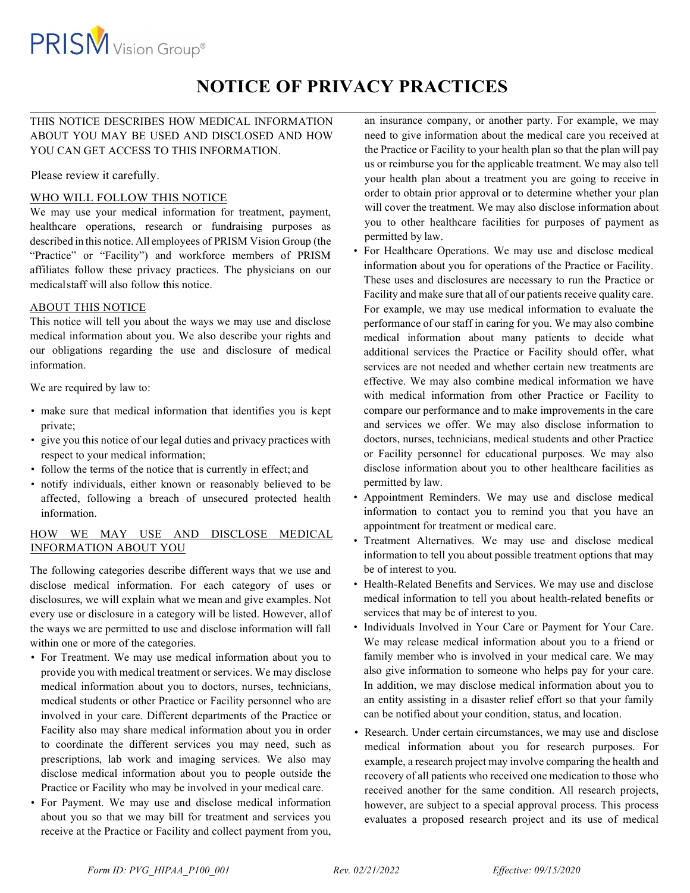

# NOTICE OF PRIVACY PRACTICES

## THIS NOTICE DESCRIBES HOW MEDICAL INFORMATION ABOUT YOU MAY BE USED AND DISCLOSED AND HOW YOU CAN GET ACCESS TO THIS INFORMATION.

Please review it carefully.

## WHO WILL FOLLOW THIS NOTICE

We may use your medical information for treatment, payment, healthcare operations, research or fundraising purposes as described in this notice. All employees of PRISM Vision Group (the "Practice" or "Facility") and workforce members of PRISM affiliates follow these privacy practices. The physicians on our medical staff will also follow this notice.

## ABOUT THIS NOTICE

This notice will tell you about the ways we may use and disclose medical information about you. We also describe your rights and our obligations regarding the use and disclosure of medical information.

We are required by law to:

- make sure that medical information that identifies you is kept private;
- give you this notice of our legal duties and privacy practices with respect to your medical information;
- follow the terms of the notice that is currently in effect; and
- notify individuals, either known or reasonably believed to be affected, following a breach of unsecured protected health information.

## HOW WE MAY USE AND DISCLOSE MEDICAL INFORMATION ABOUT YOU

The following categories describe different ways that we use and disclose medical information. For each category of uses or disclosures, we will explain what we mean and give examples. Not every use or disclosure in a category will be listed. However, all of the ways we are permitted to use and disclose information will fall within one or more of the categories.

- For Treatment. We may use medical information about you to provide you with medical treatment or services. We may disclose medical information about you to doctors, nurses, technicians, medical students or other Practice or Facility personnel who are involved in your care. Different departments of the Practice or Facility also may share medical information about you in order to coordinate the different services you may need, such as prescriptions, lab work and imaging services. We also may disclose medical information about you to people outside the Practice or Facility who may be involved in your medical care.
- For Payment. We may use and disclose medical information about you so that we may bill for treatment and services you receive at the Practice or Facility and collect payment from you,

an insurance company, or another party. For example, we may need to give information about the medical care you received at the Practice or Facility to your health plan so that the plan will pay us or reimburse you for the applicable treatment. We may also tell your health plan about a treatment you are going to receive in order to obtain prior approval or to determine whether your plan will cover the treatment. We may also disclose information about you to other healthcare facilities for purposes of payment as permitted by law.

- For Healthcare Operations. We may use and disclose medical information about you for operations of the Practice or Facility. These uses and disclosures are necessary to run the Practice or Facility and make sure that all of our patients receive quality care. For example, we may use medical information to evaluate the performance of our staff in caring for you. We may also combine medical information about many patients to decide what additional services the Practice or Facility should offer, what services are not needed and whether certain new treatments are effective. We may also combine medical information we have with medical information from other Practice or Facility to compare our performance and to make improvements in the care and services we offer. We may also disclose information to doctors, nurses, technicians, medical students and other Practice or Facility personnel for educational purposes. We may also disclose information about you to other healthcare facilities as permitted by law.
- Appointment Reminders. We may use and disclose medical information to contact you to remind you that you have an appointment for treatment or medical care.
- Treatment Alternatives. We may use and disclose medical information to tell you about possible treatment options that may be of interest to you.
- Health-Related Benefits and Services. We may use and disclose medical information to tell you about health-related benefits or services that may be of interest to you.
- Individuals Involved in Your Care or Payment for Your Care. We may release medical information about you to a friend or family member who is involved in your medical care. We may also give information to someone who helps pay for your care. In addition, we may disclose medical information about you to an entity assisting in a disaster relief effort so that your family can be notified about your condition, status, and location.
- Research. Under certain circumstances, we may use and disclose medical information about you for research purposes. For example, a research project may involve comparing the health and recovery of all patients who received one medication to those who received another for the same condition. All research projects, however, are subject to a special approval process. This process evaluates a proposed research project and its use of medical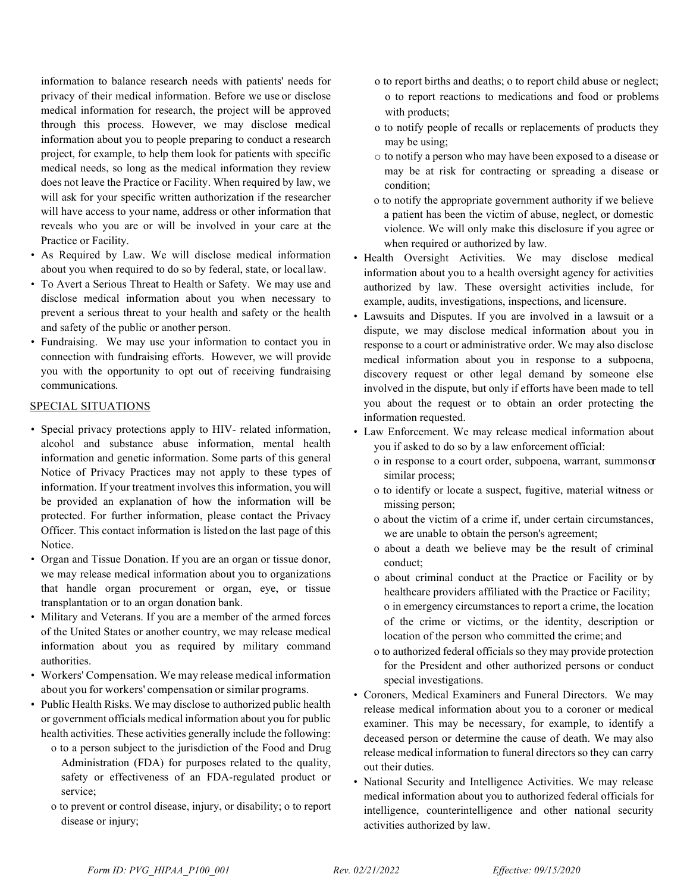information to balance research needs with patients' needs for privacy of their medical information. Before we use or disclose medical information for research, the project will be approved through this process. However, we may disclose medical information about you to people preparing to conduct a research project, for example, to help them look for patients with specific medical needs, so long as the medical information they review does not leave the Practice or Facility. When required by law, we will ask for your specific written authorization if the researcher will have access to your name, address or other information that reveals who you are or will be involved in your care at the Practice or Facility.

- As Required by Law. We will disclose medical information about you when required to do so by federal, state, or local law.
- To Avert a Serious Threat to Health or Safety. We may use and disclose medical information about you when necessary to prevent a serious threat to your health and safety or the health and safety of the public or another person.
- Fundraising. We may use your information to contact you in connection with fundraising efforts. However, we will provide you with the opportunity to opt out of receiving fundraising communications.

#### SPECIAL SITUATIONS

- Special privacy protections apply to HIV- related information, alcohol and substance abuse information, mental health information and genetic information. Some parts of this general Notice of Privacy Practices may not apply to these types of information. If your treatment involves this information, you will be provided an explanation of how the information will be protected. For further information, please contact the Privacy Officer. This contact information is listed on the last page of this Notice.
- Organ and Tissue Donation. If you are an organ or tissue donor, we may release medical information about you to organizations that handle organ procurement or organ, eye, or tissue transplantation or to an organ donation bank.
- Military and Veterans. If you are a member of the armed forces of the United States or another country, we may release medical information about you as required by military command authorities.
- Workers' Compensation. We may release medical information about you for workers' compensation or similar programs.
- Public Health Risks. We may disclose to authorized public health or government officials medical information about you for public health activities. These activities generally include the following:
	- o to a person subject to the jurisdiction of the Food and Drug Administration (FDA) for purposes related to the quality, safety or effectiveness of an FDA-regulated product or service;
	- o to prevent or control disease, injury, or disability; o to report disease or injury;
- o to report births and deaths; o to report child abuse or neglect; o to report reactions to medications and food or problems with products;
- o to notify people of recalls or replacements of products they may be using;
- o to notify a person who may have been exposed to a disease or may be at risk for contracting or spreading a disease or condition;
- o to notify the appropriate government authority if we believe a patient has been the victim of abuse, neglect, or domestic violence. We will only make this disclosure if you agree or when required or authorized by law.
- Health Oversight Activities. We may disclose medical information about you to a health oversight agency for activities authorized by law. These oversight activities include, for example, audits, investigations, inspections, and licensure.
- Lawsuits and Disputes. If you are involved in a lawsuit or a dispute, we may disclose medical information about you in response to a court or administrative order. We may also disclose medical information about you in response to a subpoena, discovery request or other legal demand by someone else involved in the dispute, but only if efforts have been made to tell you about the request or to obtain an order protecting the information requested.
- Law Enforcement. We may release medical information about you if asked to do so by a law enforcement official:
	- o in response to a court order, subpoena, warrant, summons or similar process;
	- o to identify or locate a suspect, fugitive, material witness or missing person;
	- o about the victim of a crime if, under certain circumstances, we are unable to obtain the person's agreement;
	- o about a death we believe may be the result of criminal conduct;
	- o about criminal conduct at the Practice or Facility or by healthcare providers affiliated with the Practice or Facility; o in emergency circumstances to report a crime, the location of the crime or victims, or the identity, description or location of the person who committed the crime; and
	- o to authorized federal officials so they may provide protection for the President and other authorized persons or conduct special investigations.
- Coroners, Medical Examiners and Funeral Directors. We may release medical information about you to a coroner or medical examiner. This may be necessary, for example, to identify a deceased person or determine the cause of death. We may also release medical information to funeral directors so they can carry out their duties.
- National Security and Intelligence Activities. We may release medical information about you to authorized federal officials for intelligence, counterintelligence and other national security activities authorized by law.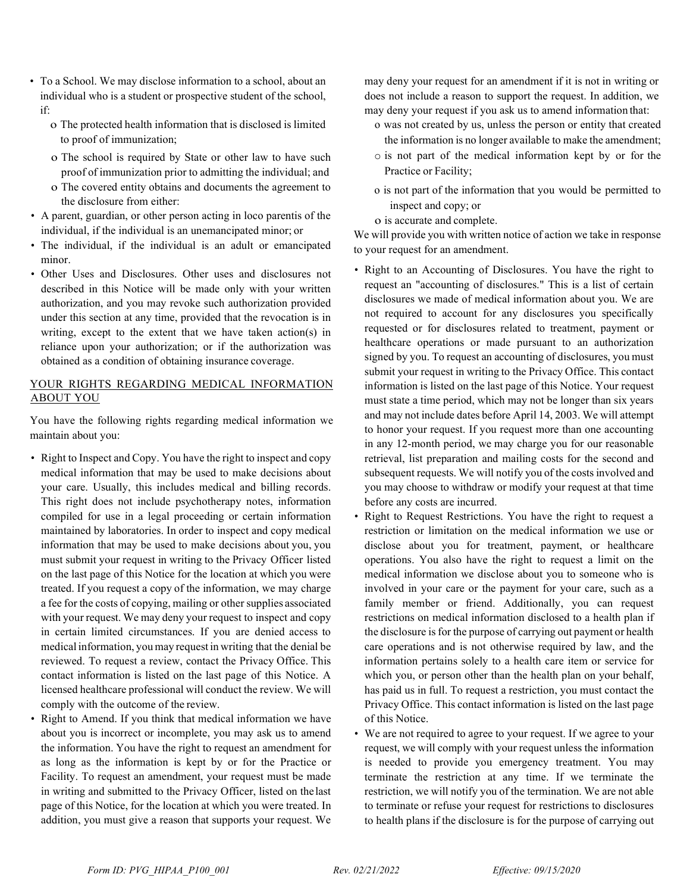- To a School. We may disclose information to a school, about an individual who is a student or prospective student of the school, if:
	- o The protected health information that is disclosed is limited to proof of immunization;
	- o The school is required by State or other law to have such proof of immunization prior to admitting the individual; and o The covered entity obtains and documents the agreement to
	- the disclosure from either:
- A parent, guardian, or other person acting in loco parentis of the individual, if the individual is an unemancipated minor; or
- The individual, if the individual is an adult or emancipated minor.
- Other Uses and Disclosures. Other uses and disclosures not described in this Notice will be made only with your written authorization, and you may revoke such authorization provided under this section at any time, provided that the revocation is in writing, except to the extent that we have taken action(s) in reliance upon your authorization; or if the authorization was obtained as a condition of obtaining insurance coverage.

## YOUR RIGHTS REGARDING MEDICAL INFORMATION ABOUT YOU

You have the following rights regarding medical information we maintain about you:

- Right to Inspect and Copy. You have the right to inspect and copy medical information that may be used to make decisions about your care. Usually, this includes medical and billing records. This right does not include psychotherapy notes, information compiled for use in a legal proceeding or certain information maintained by laboratories. In order to inspect and copy medical information that may be used to make decisions about you, you must submit your request in writing to the Privacy Officer listed on the last page of this Notice for the location at which you were treated. If you request a copy of the information, we may charge a fee for the costs of copying, mailing or other supplies associated with your request. We may deny your request to inspect and copy in certain limited circumstances. If you are denied access to medical information, you may request in writing that the denial be reviewed. To request a review, contact the Privacy Office. This contact information is listed on the last page of this Notice. A licensed healthcare professional will conduct the review. We will comply with the outcome of the review.
- Right to Amend. If you think that medical information we have about you is incorrect or incomplete, you may ask us to amend the information. You have the right to request an amendment for as long as the information is kept by or for the Practice or Facility. To request an amendment, your request must be made in writing and submitted to the Privacy Officer, listed on the last page of this Notice, for the location at which you were treated. In addition, you must give a reason that supports your request. We

may deny your request for an amendment if it is not in writing or does not include a reason to support the request. In addition, we may deny your request if you ask us to amend information that:

- o was not created by us, unless the person or entity that created the information is no longer available to make the amendment;
- o is not part of the medical information kept by or for the Practice or Facility;
- o is not part of the information that you would be permitted to inspect and copy; or
- o is accurate and complete.

We will provide you with written notice of action we take in response to your request for an amendment.

- Right to an Accounting of Disclosures. You have the right to request an "accounting of disclosures." This is a list of certain disclosures we made of medical information about you. We are not required to account for any disclosures you specifically requested or for disclosures related to treatment, payment or healthcare operations or made pursuant to an authorization signed by you. To request an accounting of disclosures, you must submit your request in writing to the Privacy Office. This contact information is listed on the last page of this Notice. Your request must state a time period, which may not be longer than six years and may not include dates before April 14, 2003. We will attempt to honor your request. If you request more than one accounting in any 12-month period, we may charge you for our reasonable retrieval, list preparation and mailing costs for the second and subsequent requests. We will notify you of the costs involved and you may choose to withdraw or modify your request at that time before any costs are incurred.
- Right to Request Restrictions. You have the right to request a restriction or limitation on the medical information we use or disclose about you for treatment, payment, or healthcare operations. You also have the right to request a limit on the medical information we disclose about you to someone who is involved in your care or the payment for your care, such as a family member or friend. Additionally, you can request restrictions on medical information disclosed to a health plan if the disclosure is for the purpose of carrying out payment or health care operations and is not otherwise required by law, and the information pertains solely to a health care item or service for which you, or person other than the health plan on your behalf, has paid us in full. To request a restriction, you must contact the Privacy Office. This contact information is listed on the last page of this Notice.
- We are not required to agree to your request. If we agree to your request, we will comply with your request unless the information is needed to provide you emergency treatment. You may terminate the restriction at any time. If we terminate the restriction, we will notify you of the termination. We are not able to terminate or refuse your request for restrictions to disclosures to health plans if the disclosure is for the purpose of carrying out